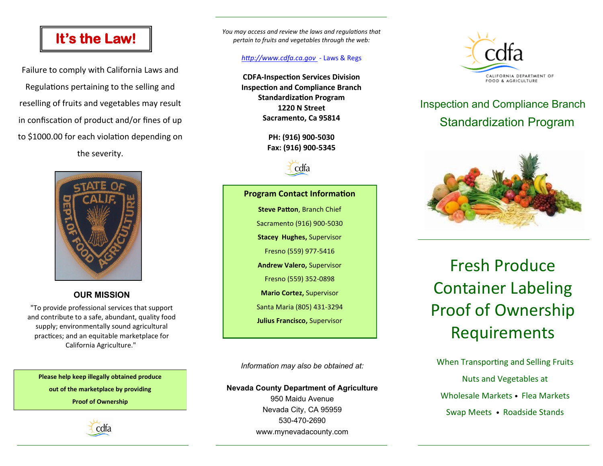# **It's the Law!**

Failure to comply with California Laws and Regulations pertaining to the selling and reselling of fruits and vegetables may result in confiscation of product and/or fines of up to \$1000.00 for each violation depending on the severity.



### **OUR MISSION**

"To provide professional services that support and contribute to a safe, abundant, quality food supply; environmentally sound agricultural practices; and an equitable marketplace for California Agriculture."

**Please help keep illegally obtained produce out of the marketplace by providing** 

**Proof of Ownership** 



*You may access and review the laws and regulations that pertain to fruits and vegetables through the web:*

#### *http://www.cdfa.ca.gov -* Laws & Regs

**CDFA-Inspection Services Division Inspection and Compliance Branch Standardization Program 1220 N Street Sacramento, Ca 95814**

> **PH: (916) 900-5030 Fax: (916) 900-5345**



**Program Contact Information Steve Patton**, Branch Chief Sacramento (916) 900-5030 **Stacey Hughes,** Supervisor

Fresno (559) 977-5416

**Andrew Valero,** Supervisor

Fresno (559) 352-0898

**Mario Cortez,** Supervisor

Santa Maria (805) 431-3294

**Julius Francisco,** Supervisor

*Information may also be obtained at:*

#### **Nevada County Department of Agriculture**

950 Maidu Avenue Nevada City, CA 95959 530-470-2690 www.mynevadacounty.com



# Inspection and Compliance Branch Standardization Program



Fresh Produce Container Labeling Proof of Ownership Requirements

When Transporting and Selling Fruits Nuts and Vegetables at Wholesale Markets • Flea Markets Swap Meets • Roadside Stands